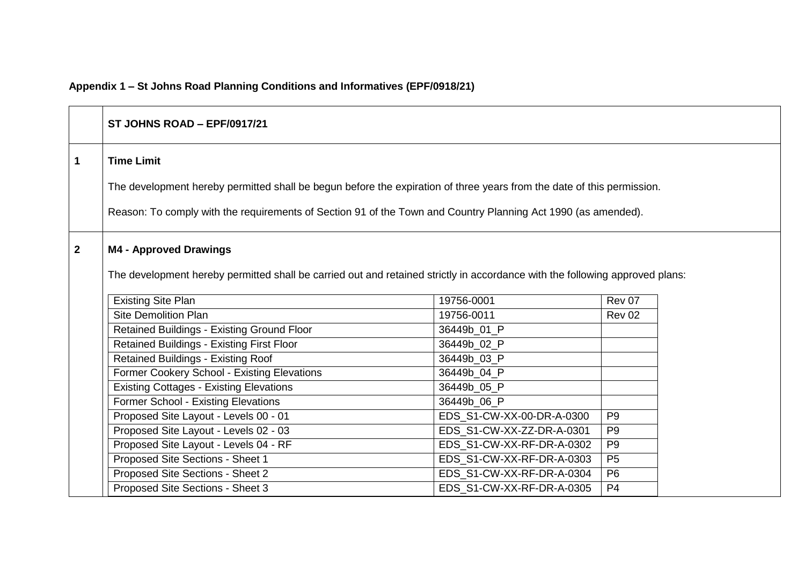# **Appendix 1 – St Johns Road Planning Conditions and Informatives (EPF/0918/21)**

|                | ST JOHNS ROAD - EPF/0917/21                                                                                                                                                                                                                                  |                           |                |  |
|----------------|--------------------------------------------------------------------------------------------------------------------------------------------------------------------------------------------------------------------------------------------------------------|---------------------------|----------------|--|
| $\mathbf{1}$   | <b>Time Limit</b><br>The development hereby permitted shall be begun before the expiration of three years from the date of this permission.<br>Reason: To comply with the requirements of Section 91 of the Town and Country Planning Act 1990 (as amended). |                           |                |  |
| $\overline{2}$ | <b>M4 - Approved Drawings</b><br>The development hereby permitted shall be carried out and retained strictly in accordance with the following approved plans:<br><b>Existing Site Plan</b>                                                                   | 19756-0001                | Rev 07         |  |
|                | <b>Site Demolition Plan</b>                                                                                                                                                                                                                                  | 19756-0011                | <b>Rev 02</b>  |  |
|                | <b>Retained Buildings - Existing Ground Floor</b>                                                                                                                                                                                                            | 36449b_01_P               |                |  |
|                | <b>Retained Buildings - Existing First Floor</b>                                                                                                                                                                                                             | 36449b_02_P               |                |  |
|                | <b>Retained Buildings - Existing Roof</b>                                                                                                                                                                                                                    | 36449b_03_P               |                |  |
|                | Former Cookery School - Existing Elevations                                                                                                                                                                                                                  | 36449b_04_P               |                |  |
|                | <b>Existing Cottages - Existing Elevations</b>                                                                                                                                                                                                               | 36449b_05_P               |                |  |
|                | Former School - Existing Elevations                                                                                                                                                                                                                          | 36449b_06_P               |                |  |
|                | Proposed Site Layout - Levels 00 - 01                                                                                                                                                                                                                        | EDS_S1-CW-XX-00-DR-A-0300 | P <sub>9</sub> |  |
|                | Proposed Site Layout - Levels 02 - 03                                                                                                                                                                                                                        | EDS_S1-CW-XX-ZZ-DR-A-0301 | P <sub>9</sub> |  |
|                | Proposed Site Layout - Levels 04 - RF                                                                                                                                                                                                                        | EDS_S1-CW-XX-RF-DR-A-0302 | P <sub>9</sub> |  |
|                | Proposed Site Sections - Sheet 1                                                                                                                                                                                                                             | EDS_S1-CW-XX-RF-DR-A-0303 | <b>P5</b>      |  |
|                | Proposed Site Sections - Sheet 2                                                                                                                                                                                                                             | EDS_S1-CW-XX-RF-DR-A-0304 | P <sub>6</sub> |  |
|                | Proposed Site Sections - Sheet 3                                                                                                                                                                                                                             | EDS_S1-CW-XX-RF-DR-A-0305 | P <sub>4</sub> |  |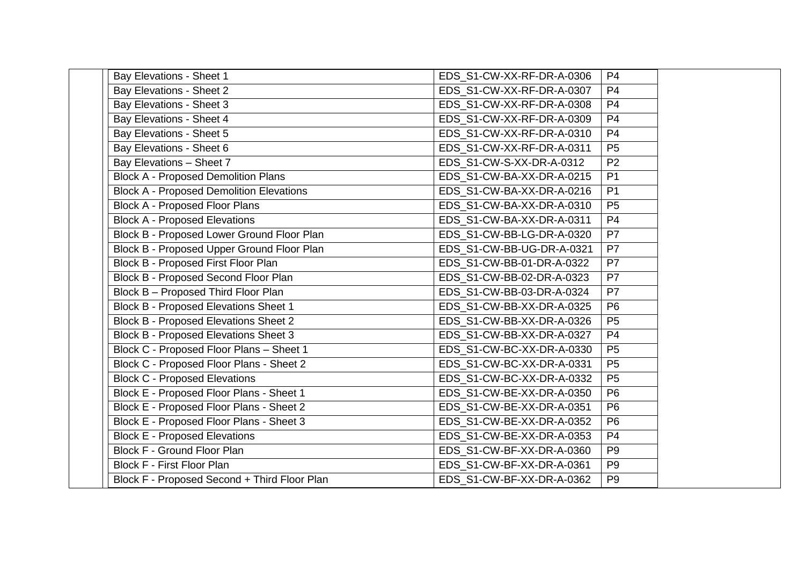| Bay Elevations - Sheet 1                        | EDS_S1-CW-XX-RF-DR-A-0306 | P <sub>4</sub>  |
|-------------------------------------------------|---------------------------|-----------------|
| <b>Bay Elevations - Sheet 2</b>                 | EDS S1-CW-XX-RF-DR-A-0307 | P <sub>4</sub>  |
| <b>Bay Elevations - Sheet 3</b>                 | EDS_S1-CW-XX-RF-DR-A-0308 | P <sub>4</sub>  |
| Bay Elevations - Sheet 4                        | EDS S1-CW-XX-RF-DR-A-0309 | P <sub>4</sub>  |
| <b>Bay Elevations - Sheet 5</b>                 | EDS_S1-CW-XX-RF-DR-A-0310 | P <sub>4</sub>  |
| Bay Elevations - Sheet 6                        | EDS S1-CW-XX-RF-DR-A-0311 | P <sub>5</sub>  |
| Bay Elevations - Sheet 7                        | EDS S1-CW-S-XX-DR-A-0312  | P <sub>2</sub>  |
| <b>Block A - Proposed Demolition Plans</b>      | EDS S1-CW-BA-XX-DR-A-0215 | P <sub>1</sub>  |
| <b>Block A - Proposed Demolition Elevations</b> | EDS S1-CW-BA-XX-DR-A-0216 | P <sub>1</sub>  |
| <b>Block A - Proposed Floor Plans</b>           | EDS S1-CW-BA-XX-DR-A-0310 | P5              |
| <b>Block A - Proposed Elevations</b>            | EDS S1-CW-BA-XX-DR-A-0311 | $\overline{P4}$ |
| Block B - Proposed Lower Ground Floor Plan      | EDS_S1-CW-BB-LG-DR-A-0320 | $\overline{P7}$ |
| Block B - Proposed Upper Ground Floor Plan      | EDS S1-CW-BB-UG-DR-A-0321 | P7              |
| Block B - Proposed First Floor Plan             | EDS S1-CW-BB-01-DR-A-0322 | P7              |
| <b>Block B - Proposed Second Floor Plan</b>     | EDS S1-CW-BB-02-DR-A-0323 | P <sub>7</sub>  |
| Block B - Proposed Third Floor Plan             | EDS S1-CW-BB-03-DR-A-0324 | P7              |
| <b>Block B - Proposed Elevations Sheet 1</b>    | EDS S1-CW-BB-XX-DR-A-0325 | P <sub>6</sub>  |
| <b>Block B - Proposed Elevations Sheet 2</b>    | EDS S1-CW-BB-XX-DR-A-0326 | P5              |
| <b>Block B - Proposed Elevations Sheet 3</b>    | EDS_S1-CW-BB-XX-DR-A-0327 | P <sub>4</sub>  |
| Block C - Proposed Floor Plans - Sheet 1        | EDS_S1-CW-BC-XX-DR-A-0330 | P <sub>5</sub>  |
| Block C - Proposed Floor Plans - Sheet 2        | EDS S1-CW-BC-XX-DR-A-0331 | P5              |
| <b>Block C - Proposed Elevations</b>            | EDS_S1-CW-BC-XX-DR-A-0332 | P <sub>5</sub>  |
| Block E - Proposed Floor Plans - Sheet 1        | EDS S1-CW-BE-XX-DR-A-0350 | P <sub>6</sub>  |
| Block E - Proposed Floor Plans - Sheet 2        | EDS_S1-CW-BE-XX-DR-A-0351 | P <sub>6</sub>  |
| Block E - Proposed Floor Plans - Sheet 3        | EDS S1-CW-BE-XX-DR-A-0352 | P <sub>6</sub>  |
| <b>Block E - Proposed Elevations</b>            | EDS S1-CW-BE-XX-DR-A-0353 | P <sub>4</sub>  |
| <b>Block F - Ground Floor Plan</b>              | EDS_S1-CW-BF-XX-DR-A-0360 | P <sub>9</sub>  |
| <b>Block F - First Floor Plan</b>               | EDS S1-CW-BF-XX-DR-A-0361 | P <sub>9</sub>  |
| Block F - Proposed Second + Third Floor Plan    | EDS S1-CW-BF-XX-DR-A-0362 | P <sub>9</sub>  |
|                                                 |                           |                 |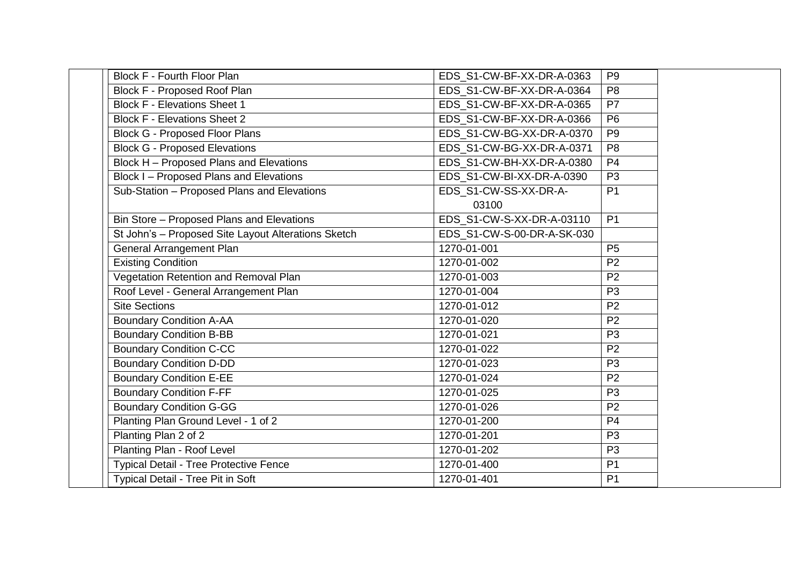| <b>Block F - Fourth Floor Plan</b>                  | EDS S1-CW-BF-XX-DR-A-0363  | P <sub>9</sub> |
|-----------------------------------------------------|----------------------------|----------------|
| <b>Block F - Proposed Roof Plan</b>                 | EDS S1-CW-BF-XX-DR-A-0364  | P <sub>8</sub> |
| <b>Block F - Elevations Sheet 1</b>                 | EDS_S1-CW-BF-XX-DR-A-0365  | P7             |
| <b>Block F - Elevations Sheet 2</b>                 | EDS_S1-CW-BF-XX-DR-A-0366  | P6             |
| <b>Block G - Proposed Floor Plans</b>               | EDS_S1-CW-BG-XX-DR-A-0370  | P <sub>9</sub> |
| <b>Block G - Proposed Elevations</b>                | EDS S1-CW-BG-XX-DR-A-0371  | P <sub>8</sub> |
| Block H - Proposed Plans and Elevations             | EDS S1-CW-BH-XX-DR-A-0380  | P <sub>4</sub> |
| Block I - Proposed Plans and Elevations             | EDS S1-CW-BI-XX-DR-A-0390  | P <sub>3</sub> |
| Sub-Station - Proposed Plans and Elevations         | EDS S1-CW-SS-XX-DR-A-      | P <sub>1</sub> |
|                                                     | 03100                      |                |
| Bin Store - Proposed Plans and Elevations           | EDS S1-CW-S-XX-DR-A-03110  | P <sub>1</sub> |
| St John's - Proposed Site Layout Alterations Sketch | EDS S1-CW-S-00-DR-A-SK-030 |                |
| <b>General Arrangement Plan</b>                     | 1270-01-001                | <b>P5</b>      |
| <b>Existing Condition</b>                           | 1270-01-002                | P <sub>2</sub> |
| Vegetation Retention and Removal Plan               | 1270-01-003                | P <sub>2</sub> |
| Roof Level - General Arrangement Plan               | 1270-01-004                | P <sub>3</sub> |
| <b>Site Sections</b>                                | 1270-01-012                | P <sub>2</sub> |
| <b>Boundary Condition A-AA</b>                      | 1270-01-020                | P <sub>2</sub> |
| <b>Boundary Condition B-BB</b>                      | 1270-01-021                | P <sub>3</sub> |
| <b>Boundary Condition C-CC</b>                      | 1270-01-022                | P <sub>2</sub> |
| <b>Boundary Condition D-DD</b>                      | 1270-01-023                | P <sub>3</sub> |
| <b>Boundary Condition E-EE</b>                      | 1270-01-024                | P <sub>2</sub> |
| <b>Boundary Condition F-FF</b>                      | 1270-01-025                | P <sub>3</sub> |
| <b>Boundary Condition G-GG</b>                      | 1270-01-026                | P <sub>2</sub> |
| Planting Plan Ground Level - 1 of 2                 | 1270-01-200                | P <sub>4</sub> |
| Planting Plan 2 of 2                                | 1270-01-201                | P <sub>3</sub> |
| Planting Plan - Roof Level                          | 1270-01-202                | P <sub>3</sub> |
| Typical Detail - Tree Protective Fence              | 1270-01-400                | P <sub>1</sub> |
| Typical Detail - Tree Pit in Soft                   | 1270-01-401                | P <sub>1</sub> |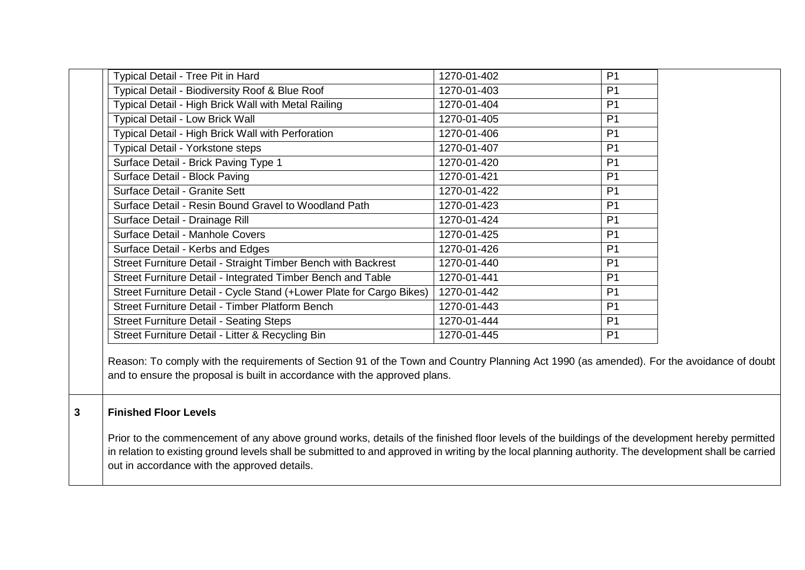| Typical Detail - Tree Pit in Hard                                    | 1270-01-402 | P <sub>1</sub> |
|----------------------------------------------------------------------|-------------|----------------|
| Typical Detail - Biodiversity Roof & Blue Roof                       | 1270-01-403 | P <sub>1</sub> |
| Typical Detail - High Brick Wall with Metal Railing                  | 1270-01-404 | P <sub>1</sub> |
| <b>Typical Detail - Low Brick Wall</b>                               | 1270-01-405 | P <sub>1</sub> |
| Typical Detail - High Brick Wall with Perforation                    | 1270-01-406 | P <sub>1</sub> |
| <b>Typical Detail - Yorkstone steps</b>                              | 1270-01-407 | P <sub>1</sub> |
| Surface Detail - Brick Paving Type 1                                 | 1270-01-420 | P <sub>1</sub> |
| Surface Detail - Block Paving                                        | 1270-01-421 | P <sub>1</sub> |
| Surface Detail - Granite Sett                                        | 1270-01-422 | P <sub>1</sub> |
| Surface Detail - Resin Bound Gravel to Woodland Path                 | 1270-01-423 | P <sub>1</sub> |
| Surface Detail - Drainage Rill                                       | 1270-01-424 | P <sub>1</sub> |
| Surface Detail - Manhole Covers                                      | 1270-01-425 | P <sub>1</sub> |
| Surface Detail - Kerbs and Edges                                     | 1270-01-426 | P <sub>1</sub> |
| Street Furniture Detail - Straight Timber Bench with Backrest        | 1270-01-440 | P <sub>1</sub> |
| Street Furniture Detail - Integrated Timber Bench and Table          | 1270-01-441 | P <sub>1</sub> |
| Street Furniture Detail - Cycle Stand (+Lower Plate for Cargo Bikes) | 1270-01-442 | P <sub>1</sub> |
| Street Furniture Detail - Timber Platform Bench                      | 1270-01-443 | P <sub>1</sub> |
| <b>Street Furniture Detail - Seating Steps</b>                       | 1270-01-444 | P <sub>1</sub> |
| Street Furniture Detail - Litter & Recycling Bin                     | 1270-01-445 | P <sub>1</sub> |

Reason: To comply with the requirements of Section 91 of the Town and Country Planning Act 1990 (as amended). For the avoidance of doubt and to ensure the proposal is built in accordance with the approved plans.

# **3 Finished Floor Levels**

Prior to the commencement of any above ground works, details of the finished floor levels of the buildings of the development hereby permitted in relation to existing ground levels shall be submitted to and approved in writing by the local planning authority. The development shall be carried out in accordance with the approved details.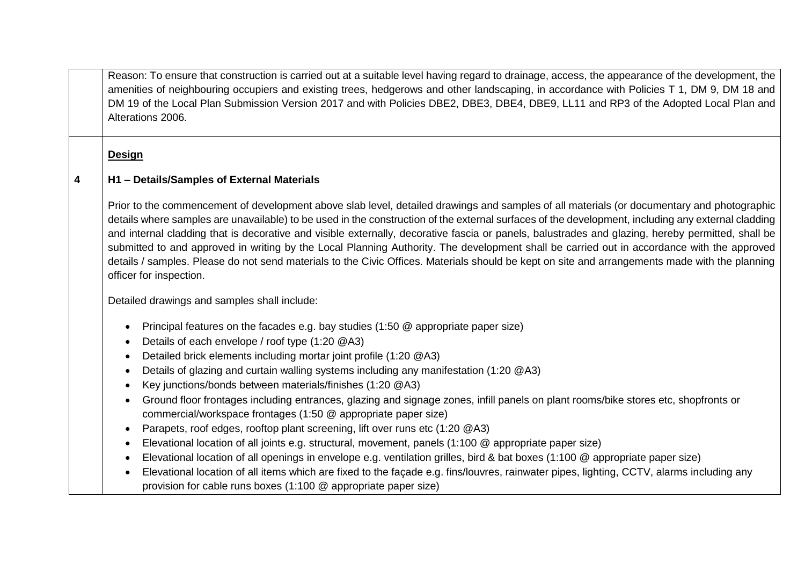Reason: To ensure that construction is carried out at a suitable level having regard to drainage, access, the appearance of the development, the amenities of neighbouring occupiers and existing trees, hedgerows and other landscaping, in accordance with Policies T 1, DM 9, DM 18 and DM 19 of the Local Plan Submission Version 2017 and with Policies DBE2, DBE3, DBE4, DBE9, LL11 and RP3 of the Adopted Local Plan and Alterations 2006.

**Design**

#### **4 H1 – Details/Samples of External Materials**

Prior to the commencement of development above slab level, detailed drawings and samples of all materials (or documentary and photographic details where samples are unavailable) to be used in the construction of the external surfaces of the development, including any external cladding and internal cladding that is decorative and visible externally, decorative fascia or panels, balustrades and glazing, hereby permitted, shall be submitted to and approved in writing by the Local Planning Authority. The development shall be carried out in accordance with the approved details / samples. Please do not send materials to the Civic Offices. Materials should be kept on site and arrangements made with the planning officer for inspection.

Detailed drawings and samples shall include:

- Principal features on the facades e.g. bay studies (1:50 @ appropriate paper size)
- Details of each envelope / roof type (1:20 @A3)
- Detailed brick elements including mortar joint profile (1:20 @A3)
- Details of glazing and curtain walling systems including any manifestation (1:20 @A3)
- Key junctions/bonds between materials/finishes (1:20 @A3)
- Ground floor frontages including entrances, glazing and signage zones, infill panels on plant rooms/bike stores etc, shopfronts or commercial/workspace frontages (1:50 @ appropriate paper size)
- Parapets, roof edges, rooftop plant screening, lift over runs etc (1:20 @A3)
- Elevational location of all joints e.g. structural, movement, panels (1:100 @ appropriate paper size)
- Elevational location of all openings in envelope e.g. ventilation grilles, bird & bat boxes (1:100 @ appropriate paper size)
- Elevational location of all items which are fixed to the façade e.g. fins/louvres, rainwater pipes, lighting, CCTV, alarms including any provision for cable runs boxes (1:100 @ appropriate paper size)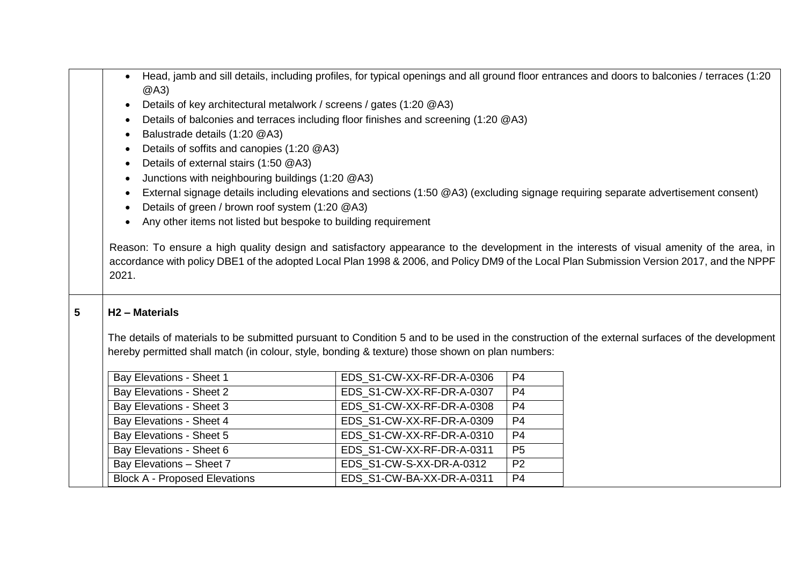| Head, jamb and sill details, including profiles, for typical openings and all ground floor entrances and doors to balconies / terraces (1:20 |  |
|----------------------------------------------------------------------------------------------------------------------------------------------|--|
| @A3)                                                                                                                                         |  |

- Details of key architectural metalwork / screens / gates (1:20 @A3)
- Details of balconies and terraces including floor finishes and screening (1:20 @A3)
- Balustrade details (1:20 @A3)
- Details of soffits and canopies (1:20 @A3)
- Details of external stairs (1:50 @A3)
- Junctions with neighbouring buildings (1:20 @A3)
- External signage details including elevations and sections (1:50 @A3) (excluding signage requiring separate advertisement consent)
- Details of green / brown roof system (1:20 @A3)
- Any other items not listed but bespoke to building requirement

Reason: To ensure a high quality design and satisfactory appearance to the development in the interests of visual amenity of the area, in accordance with policy DBE1 of the adopted Local Plan 1998 & 2006, and Policy DM9 of the Local Plan Submission Version 2017, and the NPPF 2021.

# **5 H2 – Materials**

The details of materials to be submitted pursuant to Condition 5 and to be used in the construction of the external surfaces of the development hereby permitted shall match (in colour, style, bonding & texture) those shown on plan numbers:

| Bay Elevations - Sheet 1             | EDS S1-CW-XX-RF-DR-A-0306 | P <sub>4</sub> |
|--------------------------------------|---------------------------|----------------|
| Bay Elevations - Sheet 2             | EDS S1-CW-XX-RF-DR-A-0307 | P4             |
| Bay Elevations - Sheet 3             | EDS S1-CW-XX-RF-DR-A-0308 | <b>P4</b>      |
| Bay Elevations - Sheet 4             | EDS S1-CW-XX-RF-DR-A-0309 | P <sub>4</sub> |
| Bay Elevations - Sheet 5             | EDS S1-CW-XX-RF-DR-A-0310 | P4             |
| Bay Elevations - Sheet 6             | EDS S1-CW-XX-RF-DR-A-0311 | P <sub>5</sub> |
| Bay Elevations - Sheet 7             | EDS S1-CW-S-XX-DR-A-0312  | P <sub>2</sub> |
| <b>Block A - Proposed Elevations</b> | EDS S1-CW-BA-XX-DR-A-0311 | <b>P4</b>      |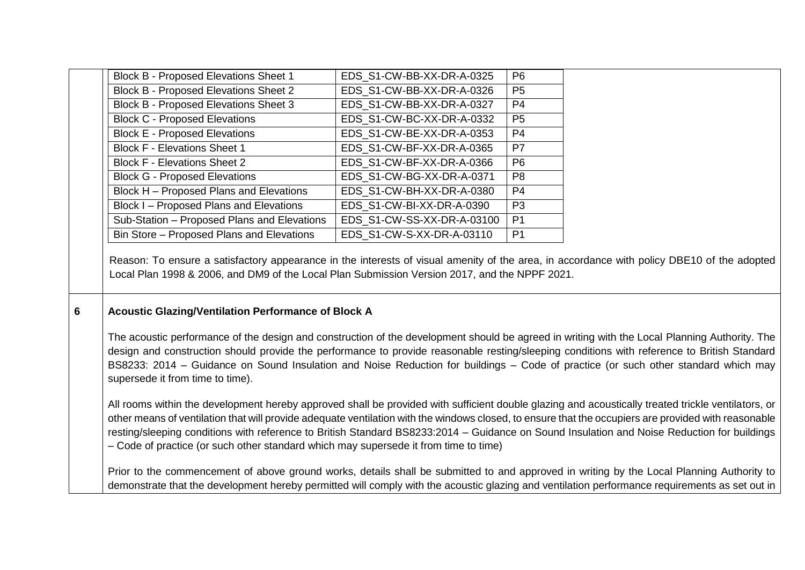| <b>Block B - Proposed Elevations Sheet 1</b>                                                                                                                                                                                                                                                                                                                                                                                                                                                                                                      | EDS_S1-CW-BB-XX-DR-A-0325  | P <sub>6</sub> |  |
|---------------------------------------------------------------------------------------------------------------------------------------------------------------------------------------------------------------------------------------------------------------------------------------------------------------------------------------------------------------------------------------------------------------------------------------------------------------------------------------------------------------------------------------------------|----------------------------|----------------|--|
| <b>Block B - Proposed Elevations Sheet 2</b>                                                                                                                                                                                                                                                                                                                                                                                                                                                                                                      | EDS_S1-CW-BB-XX-DR-A-0326  | P <sub>5</sub> |  |
| <b>Block B - Proposed Elevations Sheet 3</b>                                                                                                                                                                                                                                                                                                                                                                                                                                                                                                      | EDS_S1-CW-BB-XX-DR-A-0327  | <b>P4</b>      |  |
| <b>Block C - Proposed Elevations</b>                                                                                                                                                                                                                                                                                                                                                                                                                                                                                                              | EDS_S1-CW-BC-XX-DR-A-0332  | P <sub>5</sub> |  |
| <b>Block E - Proposed Elevations</b>                                                                                                                                                                                                                                                                                                                                                                                                                                                                                                              | EDS S1-CW-BE-XX-DR-A-0353  | P <sub>4</sub> |  |
| <b>Block F - Elevations Sheet 1</b>                                                                                                                                                                                                                                                                                                                                                                                                                                                                                                               | EDS_S1-CW-BF-XX-DR-A-0365  | P <sub>7</sub> |  |
| <b>Block F - Elevations Sheet 2</b>                                                                                                                                                                                                                                                                                                                                                                                                                                                                                                               | EDS S1-CW-BF-XX-DR-A-0366  | P <sub>6</sub> |  |
| <b>Block G - Proposed Elevations</b>                                                                                                                                                                                                                                                                                                                                                                                                                                                                                                              | EDS_S1-CW-BG-XX-DR-A-0371  | P <sub>8</sub> |  |
| Block H - Proposed Plans and Elevations                                                                                                                                                                                                                                                                                                                                                                                                                                                                                                           | EDS_S1-CW-BH-XX-DR-A-0380  | P <sub>4</sub> |  |
| Block I - Proposed Plans and Elevations                                                                                                                                                                                                                                                                                                                                                                                                                                                                                                           | EDS_S1-CW-BI-XX-DR-A-0390  | P <sub>3</sub> |  |
| Sub-Station - Proposed Plans and Elevations                                                                                                                                                                                                                                                                                                                                                                                                                                                                                                       | EDS_S1-CW-SS-XX-DR-A-03100 | P <sub>1</sub> |  |
| Bin Store - Proposed Plans and Elevations                                                                                                                                                                                                                                                                                                                                                                                                                                                                                                         | EDS S1-CW-S-XX-DR-A-03110  | P <sub>1</sub> |  |
| Reason: To ensure a satisfactory appearance in the interests of visual amenity of the area, in accordance with policy DBE10 of the adopted<br>Local Plan 1998 & 2006, and DM9 of the Local Plan Submission Version 2017, and the NPPF 2021.                                                                                                                                                                                                                                                                                                       |                            |                |  |
| Acoustic Glazing/Ventilation Performance of Block A                                                                                                                                                                                                                                                                                                                                                                                                                                                                                               |                            |                |  |
| The acoustic performance of the design and construction of the development should be agreed in writing with the Local Planning Authority. The<br>design and construction should provide the performance to provide reasonable resting/sleeping conditions with reference to British Standard<br>BS8233: 2014 – Guidance on Sound Insulation and Noise Reduction for buildings – Code of practice (or such other standard which may<br>supersede it from time to time).                                                                            |                            |                |  |
| All rooms within the development hereby approved shall be provided with sufficient double glazing and acoustically treated trickle ventilators, or<br>other means of ventilation that will provide adequate ventilation with the windows closed, to ensure that the occupiers are provided with reasonable<br>resting/sleeping conditions with reference to British Standard BS8233:2014 - Guidance on Sound Insulation and Noise Reduction for buildings<br>- Code of practice (or such other standard which may supersede it from time to time) |                            |                |  |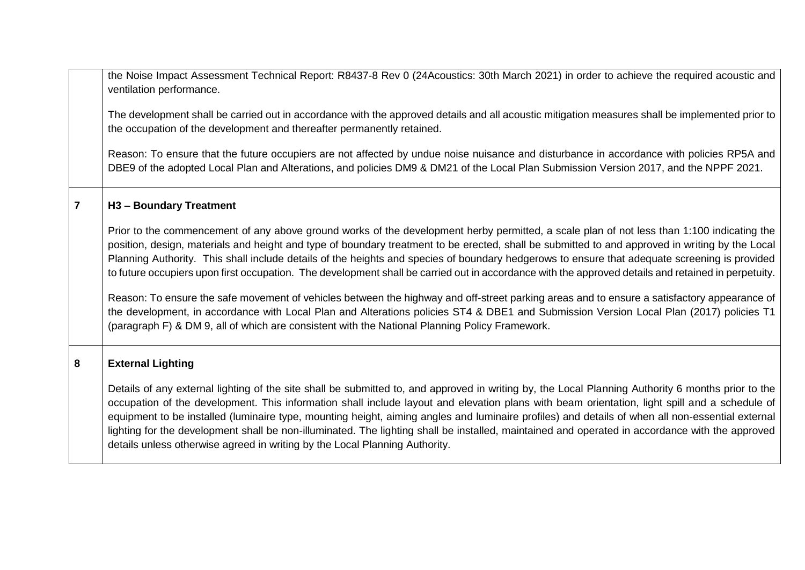the Noise Impact Assessment Technical Report: R8437-8 Rev 0 (24Acoustics: 30th March 2021) in order to achieve the required acoustic and ventilation performance.

The development shall be carried out in accordance with the approved details and all acoustic mitigation measures shall be implemented prior to the occupation of the development and thereafter permanently retained.

Reason: To ensure that the future occupiers are not affected by undue noise nuisance and disturbance in accordance with policies RP5A and DBE9 of the adopted Local Plan and Alterations, and policies DM9 & DM21 of the Local Plan Submission Version 2017, and the NPPF 2021.

#### **7 H3 – Boundary Treatment**

Prior to the commencement of any above ground works of the development herby permitted, a scale plan of not less than 1:100 indicating the position, design, materials and height and type of boundary treatment to be erected, shall be submitted to and approved in writing by the Local Planning Authority. This shall include details of the heights and species of boundary hedgerows to ensure that adequate screening is provided to future occupiers upon first occupation. The development shall be carried out in accordance with the approved details and retained in perpetuity.

Reason: To ensure the safe movement of vehicles between the highway and off-street parking areas and to ensure a satisfactory appearance of the development, in accordance with Local Plan and Alterations policies ST4 & DBE1 and Submission Version Local Plan (2017) policies T1 (paragraph F) & DM 9, all of which are consistent with the National Planning Policy Framework.

#### **8 External Lighting**

Details of any external lighting of the site shall be submitted to, and approved in writing by, the Local Planning Authority 6 months prior to the occupation of the development. This information shall include layout and elevation plans with beam orientation, light spill and a schedule of equipment to be installed (luminaire type, mounting height, aiming angles and luminaire profiles) and details of when all non-essential external lighting for the development shall be non-illuminated. The lighting shall be installed, maintained and operated in accordance with the approved details unless otherwise agreed in writing by the Local Planning Authority.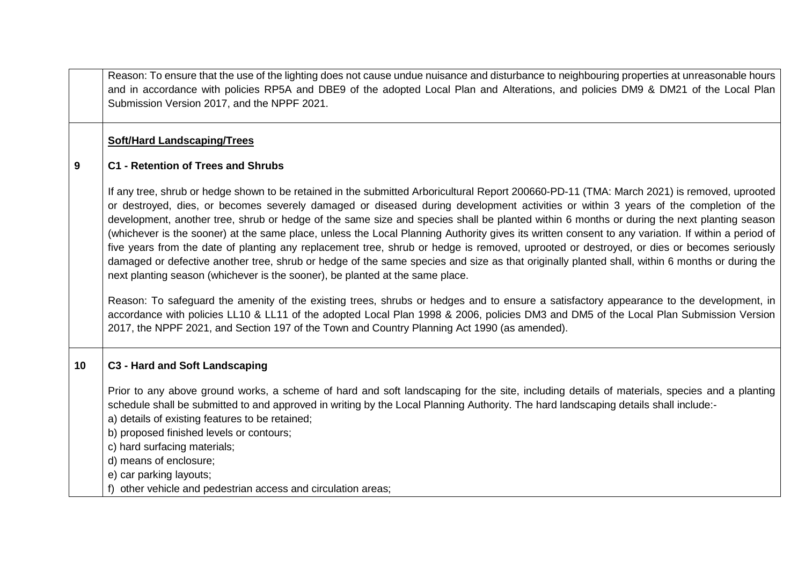Reason: To ensure that the use of the lighting does not cause undue nuisance and disturbance to neighbouring properties at unreasonable hours and in accordance with policies RP5A and DBE9 of the adopted Local Plan and Alterations, and policies DM9 & DM21 of the Local Plan Submission Version 2017, and the NPPF 2021.

#### **Soft/Hard Landscaping/Trees**

#### **9 C1 - Retention of Trees and Shrubs**

If any tree, shrub or hedge shown to be retained in the submitted Arboricultural Report 200660-PD-11 (TMA: March 2021) is removed, uprooted or destroyed, dies, or becomes severely damaged or diseased during development activities or within 3 years of the completion of the development, another tree, shrub or hedge of the same size and species shall be planted within 6 months or during the next planting season (whichever is the sooner) at the same place, unless the Local Planning Authority gives its written consent to any variation. If within a period of five years from the date of planting any replacement tree, shrub or hedge is removed, uprooted or destroyed, or dies or becomes seriously damaged or defective another tree, shrub or hedge of the same species and size as that originally planted shall, within 6 months or during the next planting season (whichever is the sooner), be planted at the same place.

Reason: To safeguard the amenity of the existing trees, shrubs or hedges and to ensure a satisfactory appearance to the development, in accordance with policies LL10 & LL11 of the adopted Local Plan 1998 & 2006, policies DM3 and DM5 of the Local Plan Submission Version 2017, the NPPF 2021, and Section 197 of the Town and Country Planning Act 1990 (as amended).

# **10 C3 - Hard and Soft Landscaping**

Prior to any above ground works, a scheme of hard and soft landscaping for the site, including details of materials, species and a planting schedule shall be submitted to and approved in writing by the Local Planning Authority. The hard landscaping details shall include:-

a) details of existing features to be retained;

b) proposed finished levels or contours;

c) hard surfacing materials;

d) means of enclosure;

e) car parking layouts;

f) other vehicle and pedestrian access and circulation areas;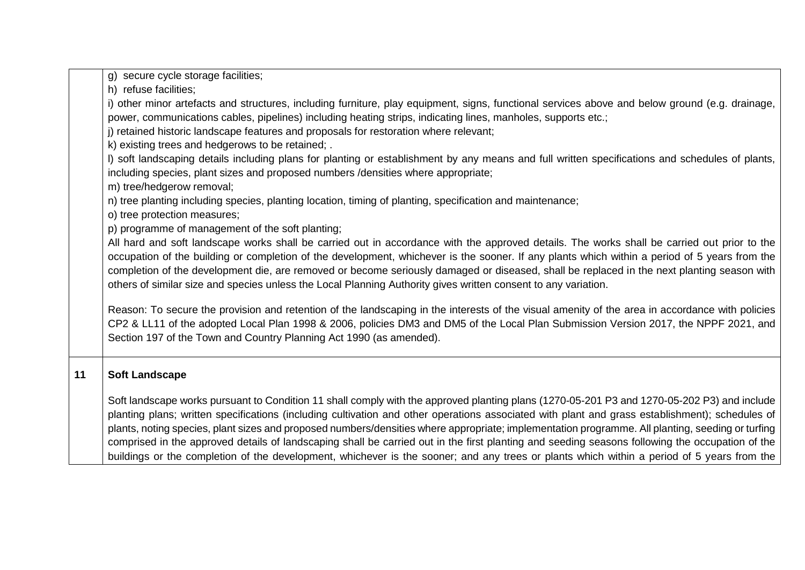|    | g) secure cycle storage facilities;                                                                                                                                                                                                                                                                                                                                                                                                                                                                                                                                                                                                                                                                                                                 |
|----|-----------------------------------------------------------------------------------------------------------------------------------------------------------------------------------------------------------------------------------------------------------------------------------------------------------------------------------------------------------------------------------------------------------------------------------------------------------------------------------------------------------------------------------------------------------------------------------------------------------------------------------------------------------------------------------------------------------------------------------------------------|
|    | h) refuse facilities;                                                                                                                                                                                                                                                                                                                                                                                                                                                                                                                                                                                                                                                                                                                               |
|    | i) other minor artefacts and structures, including furniture, play equipment, signs, functional services above and below ground (e.g. drainage,<br>power, communications cables, pipelines) including heating strips, indicating lines, manholes, supports etc.;<br>j) retained historic landscape features and proposals for restoration where relevant;                                                                                                                                                                                                                                                                                                                                                                                           |
|    | k) existing trees and hedgerows to be retained; .<br>I) soft landscaping details including plans for planting or establishment by any means and full written specifications and schedules of plants,<br>including species, plant sizes and proposed numbers /densities where appropriate;<br>m) tree/hedgerow removal;                                                                                                                                                                                                                                                                                                                                                                                                                              |
|    | n) tree planting including species, planting location, timing of planting, specification and maintenance;<br>o) tree protection measures;<br>p) programme of management of the soft planting;                                                                                                                                                                                                                                                                                                                                                                                                                                                                                                                                                       |
|    | All hard and soft landscape works shall be carried out in accordance with the approved details. The works shall be carried out prior to the<br>occupation of the building or completion of the development, whichever is the sooner. If any plants which within a period of 5 years from the<br>completion of the development die, are removed or become seriously damaged or diseased, shall be replaced in the next planting season with<br>others of similar size and species unless the Local Planning Authority gives written consent to any variation.                                                                                                                                                                                        |
|    | Reason: To secure the provision and retention of the landscaping in the interests of the visual amenity of the area in accordance with policies<br>CP2 & LL11 of the adopted Local Plan 1998 & 2006, policies DM3 and DM5 of the Local Plan Submission Version 2017, the NPPF 2021, and<br>Section 197 of the Town and Country Planning Act 1990 (as amended).                                                                                                                                                                                                                                                                                                                                                                                      |
| 11 | <b>Soft Landscape</b>                                                                                                                                                                                                                                                                                                                                                                                                                                                                                                                                                                                                                                                                                                                               |
|    | Soft landscape works pursuant to Condition 11 shall comply with the approved planting plans (1270-05-201 P3 and 1270-05-202 P3) and include<br>planting plans; written specifications (including cultivation and other operations associated with plant and grass establishment); schedules of<br>plants, noting species, plant sizes and proposed numbers/densities where appropriate; implementation programme. All planting, seeding or turfing<br>comprised in the approved details of landscaping shall be carried out in the first planting and seeding seasons following the occupation of the<br>buildings or the completion of the development, whichever is the sooner; and any trees or plants which within a period of 5 years from the |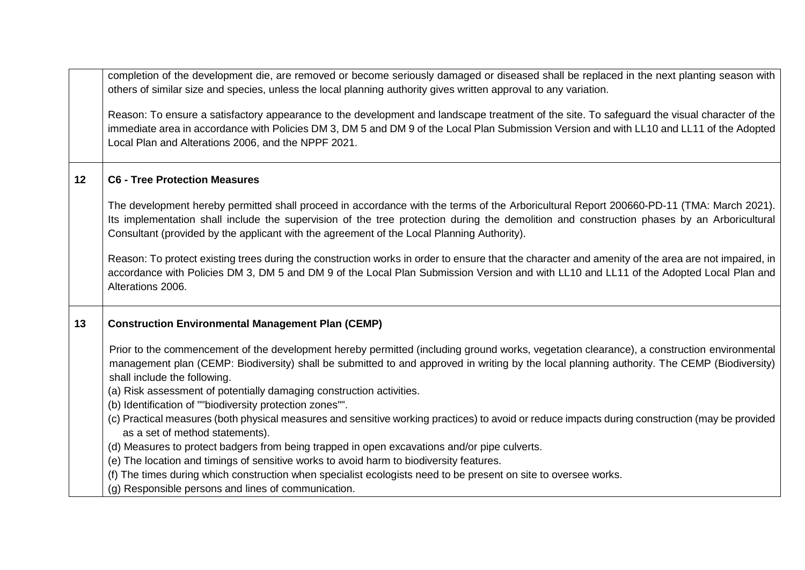|         | completion of the development die, are removed or become seriously damaged or diseased shall be replaced in the next planting season with<br>others of similar size and species, unless the local planning authority gives written approval to any variation.                                                                                                                        |
|---------|--------------------------------------------------------------------------------------------------------------------------------------------------------------------------------------------------------------------------------------------------------------------------------------------------------------------------------------------------------------------------------------|
|         | Reason: To ensure a satisfactory appearance to the development and landscape treatment of the site. To safeguard the visual character of the<br>immediate area in accordance with Policies DM 3, DM 5 and DM 9 of the Local Plan Submission Version and with LL10 and LL11 of the Adopted<br>Local Plan and Alterations 2006, and the NPPF 2021.                                     |
| $12 \,$ | <b>C6 - Tree Protection Measures</b>                                                                                                                                                                                                                                                                                                                                                 |
|         | The development hereby permitted shall proceed in accordance with the terms of the Arboricultural Report 200660-PD-11 (TMA: March 2021).<br>Its implementation shall include the supervision of the tree protection during the demolition and construction phases by an Arboricultural<br>Consultant (provided by the applicant with the agreement of the Local Planning Authority). |
|         | Reason: To protect existing trees during the construction works in order to ensure that the character and amenity of the area are not impaired, in<br>accordance with Policies DM 3, DM 5 and DM 9 of the Local Plan Submission Version and with LL10 and LL11 of the Adopted Local Plan and<br>Alterations 2006.                                                                    |
| 13      | <b>Construction Environmental Management Plan (CEMP)</b>                                                                                                                                                                                                                                                                                                                             |
|         | Prior to the commencement of the development hereby permitted (including ground works, vegetation clearance), a construction environmental<br>management plan (CEMP: Biodiversity) shall be submitted to and approved in writing by the local planning authority. The CEMP (Biodiversity)<br>shall include the following.                                                            |
|         | (a) Risk assessment of potentially damaging construction activities.<br>(b) Identification of ""biodiversity protection zones"".                                                                                                                                                                                                                                                     |
|         | (c) Practical measures (both physical measures and sensitive working practices) to avoid or reduce impacts during construction (may be provided<br>as a set of method statements).                                                                                                                                                                                                   |
|         | (d) Measures to protect badgers from being trapped in open excavations and/or pipe culverts.                                                                                                                                                                                                                                                                                         |
|         | (e) The location and timings of sensitive works to avoid harm to biodiversity features.<br>(f) The times during which construction when specialist ecologists need to be present on site to oversee works.                                                                                                                                                                           |
|         | (g) Responsible persons and lines of communication.                                                                                                                                                                                                                                                                                                                                  |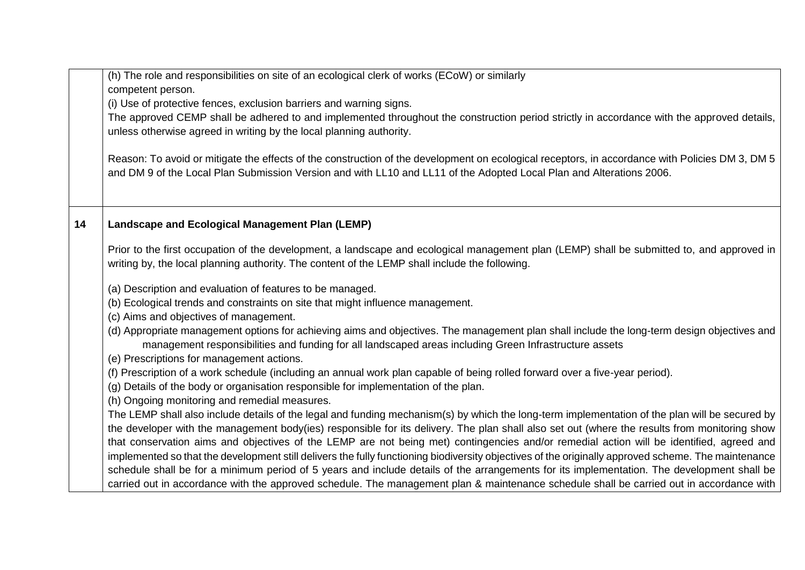|    | (h) The role and responsibilities on site of an ecological clerk of works (ECoW) or similarly                                                                                                                                                         |
|----|-------------------------------------------------------------------------------------------------------------------------------------------------------------------------------------------------------------------------------------------------------|
|    | competent person.                                                                                                                                                                                                                                     |
|    | (i) Use of protective fences, exclusion barriers and warning signs.                                                                                                                                                                                   |
|    | The approved CEMP shall be adhered to and implemented throughout the construction period strictly in accordance with the approved details,                                                                                                            |
|    | unless otherwise agreed in writing by the local planning authority.                                                                                                                                                                                   |
|    |                                                                                                                                                                                                                                                       |
|    | Reason: To avoid or mitigate the effects of the construction of the development on ecological receptors, in accordance with Policies DM 3, DM 5                                                                                                       |
|    | and DM 9 of the Local Plan Submission Version and with LL10 and LL11 of the Adopted Local Plan and Alterations 2006.                                                                                                                                  |
|    |                                                                                                                                                                                                                                                       |
|    |                                                                                                                                                                                                                                                       |
|    |                                                                                                                                                                                                                                                       |
| 14 | <b>Landscape and Ecological Management Plan (LEMP)</b>                                                                                                                                                                                                |
|    | Prior to the first occupation of the development, a landscape and ecological management plan (LEMP) shall be submitted to, and approved in                                                                                                            |
|    | writing by, the local planning authority. The content of the LEMP shall include the following.                                                                                                                                                        |
|    |                                                                                                                                                                                                                                                       |
|    | (a) Description and evaluation of features to be managed.                                                                                                                                                                                             |
|    | (b) Ecological trends and constraints on site that might influence management.                                                                                                                                                                        |
|    | (c) Aims and objectives of management.                                                                                                                                                                                                                |
|    | (d) Appropriate management options for achieving aims and objectives. The management plan shall include the long-term design objectives and<br>management responsibilities and funding for all landscaped areas including Green Infrastructure assets |
|    | (e) Prescriptions for management actions.                                                                                                                                                                                                             |
|    | (f) Prescription of a work schedule (including an annual work plan capable of being rolled forward over a five-year period).                                                                                                                          |
|    | (g) Details of the body or organisation responsible for implementation of the plan.                                                                                                                                                                   |
|    | (h) Ongoing monitoring and remedial measures.                                                                                                                                                                                                         |
|    | The LEMP shall also include details of the legal and funding mechanism(s) by which the long-term implementation of the plan will be secured by                                                                                                        |
|    | the developer with the management body(ies) responsible for its delivery. The plan shall also set out (where the results from monitoring show                                                                                                         |
|    | that conservation aims and objectives of the LEMP are not being met) contingencies and/or remedial action will be identified, agreed and                                                                                                              |
|    | implemented so that the development still delivers the fully functioning biodiversity objectives of the originally approved scheme. The maintenance                                                                                                   |
|    | schedule shall be for a minimum period of 5 years and include details of the arrangements for its implementation. The development shall be                                                                                                            |
|    | carried out in accordance with the approved schedule. The management plan & maintenance schedule shall be carried out in accordance with                                                                                                              |
|    |                                                                                                                                                                                                                                                       |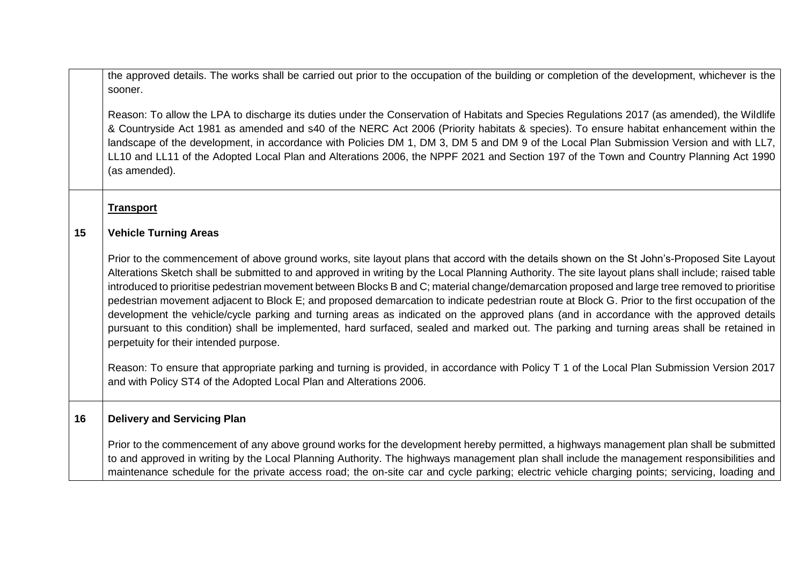the approved details. The works shall be carried out prior to the occupation of the building or completion of the development, whichever is the sooner.

Reason: To allow the LPA to discharge its duties under the Conservation of Habitats and Species Regulations 2017 (as amended), the Wildlife & Countryside Act 1981 as amended and s40 of the NERC Act 2006 (Priority habitats & species). To ensure habitat enhancement within the landscape of the development, in accordance with Policies DM 1, DM 3, DM 5 and DM 9 of the Local Plan Submission Version and with LL7, LL10 and LL11 of the Adopted Local Plan and Alterations 2006, the NPPF 2021 and Section 197 of the Town and Country Planning Act 1990 (as amended).

**Transport**

#### **15 Vehicle Turning Areas**

Prior to the commencement of above ground works, site layout plans that accord with the details shown on the St John's-Proposed Site Layout Alterations Sketch shall be submitted to and approved in writing by the Local Planning Authority. The site layout plans shall include; raised table introduced to prioritise pedestrian movement between Blocks B and C; material change/demarcation proposed and large tree removed to prioritise pedestrian movement adjacent to Block E; and proposed demarcation to indicate pedestrian route at Block G. Prior to the first occupation of the development the vehicle/cycle parking and turning areas as indicated on the approved plans (and in accordance with the approved details pursuant to this condition) shall be implemented, hard surfaced, sealed and marked out. The parking and turning areas shall be retained in perpetuity for their intended purpose.

Reason: To ensure that appropriate parking and turning is provided, in accordance with Policy T 1 of the Local Plan Submission Version 2017 and with Policy ST4 of the Adopted Local Plan and Alterations 2006.

#### **16 Delivery and Servicing Plan**

Prior to the commencement of any above ground works for the development hereby permitted, a highways management plan shall be submitted to and approved in writing by the Local Planning Authority. The highways management plan shall include the management responsibilities and maintenance schedule for the private access road; the on-site car and cycle parking; electric vehicle charging points; servicing, loading and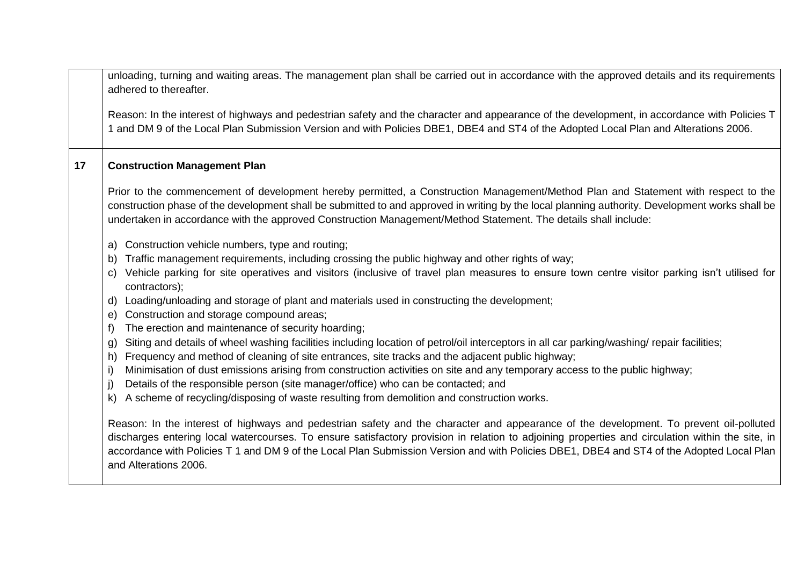unloading, turning and waiting areas. The management plan shall be carried out in accordance with the approved details and its requirements adhered to thereafter.

Reason: In the interest of highways and pedestrian safety and the character and appearance of the development, in accordance with Policies T 1 and DM 9 of the Local Plan Submission Version and with Policies DBE1, DBE4 and ST4 of the Adopted Local Plan and Alterations 2006.

#### **17 Construction Management Plan**

Prior to the commencement of development hereby permitted, a Construction Management/Method Plan and Statement with respect to the construction phase of the development shall be submitted to and approved in writing by the local planning authority. Development works shall be undertaken in accordance with the approved Construction Management/Method Statement. The details shall include:

- a) Construction vehicle numbers, type and routing;
- b) Traffic management requirements, including crossing the public highway and other rights of way;
- c) Vehicle parking for site operatives and visitors (inclusive of travel plan measures to ensure town centre visitor parking isn't utilised for contractors);
- d) Loading/unloading and storage of plant and materials used in constructing the development;
- e) Construction and storage compound areas;
- f) The erection and maintenance of security hoarding;
- g) Siting and details of wheel washing facilities including location of petrol/oil interceptors in all car parking/washing/ repair facilities;
- h) Frequency and method of cleaning of site entrances, site tracks and the adjacent public highway;
- i) Minimisation of dust emissions arising from construction activities on site and any temporary access to the public highway;
- j) Details of the responsible person (site manager/office) who can be contacted; and
- k) A scheme of recycling/disposing of waste resulting from demolition and construction works.

Reason: In the interest of highways and pedestrian safety and the character and appearance of the development. To prevent oil-polluted discharges entering local watercourses. To ensure satisfactory provision in relation to adjoining properties and circulation within the site, in accordance with Policies T 1 and DM 9 of the Local Plan Submission Version and with Policies DBE1, DBE4 and ST4 of the Adopted Local Plan and Alterations 2006.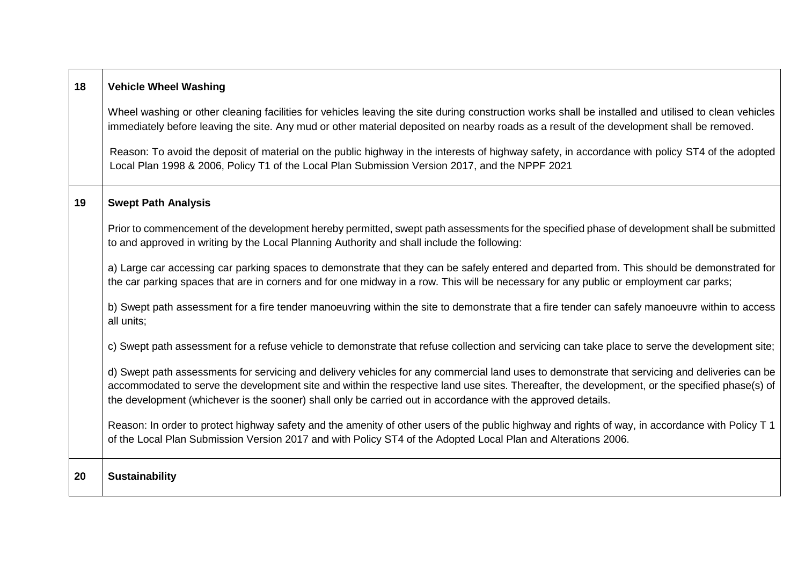| 18 | <b>Vehicle Wheel Washing</b>                                                                                                                                                                                                                                                                                                                                                                                     |
|----|------------------------------------------------------------------------------------------------------------------------------------------------------------------------------------------------------------------------------------------------------------------------------------------------------------------------------------------------------------------------------------------------------------------|
|    | Wheel washing or other cleaning facilities for vehicles leaving the site during construction works shall be installed and utilised to clean vehicles<br>immediately before leaving the site. Any mud or other material deposited on nearby roads as a result of the development shall be removed.                                                                                                                |
|    | Reason: To avoid the deposit of material on the public highway in the interests of highway safety, in accordance with policy ST4 of the adopted<br>Local Plan 1998 & 2006, Policy T1 of the Local Plan Submission Version 2017, and the NPPF 2021                                                                                                                                                                |
| 19 | <b>Swept Path Analysis</b>                                                                                                                                                                                                                                                                                                                                                                                       |
|    | Prior to commencement of the development hereby permitted, swept path assessments for the specified phase of development shall be submitted<br>to and approved in writing by the Local Planning Authority and shall include the following:                                                                                                                                                                       |
|    | a) Large car accessing car parking spaces to demonstrate that they can be safely entered and departed from. This should be demonstrated for<br>the car parking spaces that are in corners and for one midway in a row. This will be necessary for any public or employment car parks;                                                                                                                            |
|    | b) Swept path assessment for a fire tender manoeuvring within the site to demonstrate that a fire tender can safely manoeuvre within to access<br>all units;                                                                                                                                                                                                                                                     |
|    | c) Swept path assessment for a refuse vehicle to demonstrate that refuse collection and servicing can take place to serve the development site;                                                                                                                                                                                                                                                                  |
|    | d) Swept path assessments for servicing and delivery vehicles for any commercial land uses to demonstrate that servicing and deliveries can be<br>accommodated to serve the development site and within the respective land use sites. Thereafter, the development, or the specified phase(s) of<br>the development (whichever is the sooner) shall only be carried out in accordance with the approved details. |
|    | Reason: In order to protect highway safety and the amenity of other users of the public highway and rights of way, in accordance with Policy T 1<br>of the Local Plan Submission Version 2017 and with Policy ST4 of the Adopted Local Plan and Alterations 2006.                                                                                                                                                |
| 20 | <b>Sustainability</b>                                                                                                                                                                                                                                                                                                                                                                                            |

 $\blacksquare$ 

┱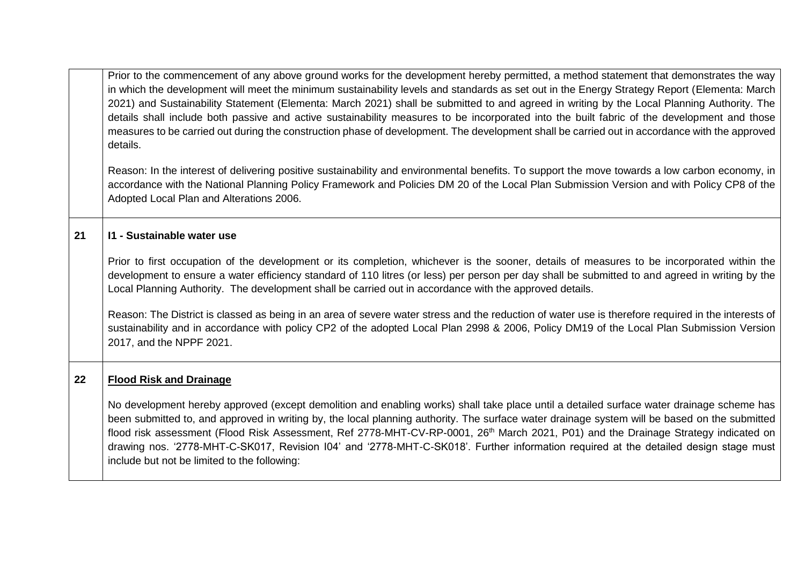Prior to the commencement of any above ground works for the development hereby permitted, a method statement that demonstrates the way in which the development will meet the minimum sustainability levels and standards as set out in the Energy Strategy Report (Elementa: March 2021) and Sustainability Statement (Elementa: March 2021) shall be submitted to and agreed in writing by the Local Planning Authority. The details shall include both passive and active sustainability measures to be incorporated into the built fabric of the development and those measures to be carried out during the construction phase of development. The development shall be carried out in accordance with the approved details.

Reason: In the interest of delivering positive sustainability and environmental benefits. To support the move towards a low carbon economy, in accordance with the National Planning Policy Framework and Policies DM 20 of the Local Plan Submission Version and with Policy CP8 of the Adopted Local Plan and Alterations 2006.

#### **21 I1 - Sustainable water use**

Prior to first occupation of the development or its completion, whichever is the sooner, details of measures to be incorporated within the development to ensure a water efficiency standard of 110 litres (or less) per person per day shall be submitted to and agreed in writing by the Local Planning Authority. The development shall be carried out in accordance with the approved details.

Reason: The District is classed as being in an area of severe water stress and the reduction of water use is therefore required in the interests of sustainability and in accordance with policy CP2 of the adopted Local Plan 2998 & 2006, Policy DM19 of the Local Plan Submission Version 2017, and the NPPF 2021.

#### **22 Flood Risk and Drainage**

No development hereby approved (except demolition and enabling works) shall take place until a detailed surface water drainage scheme has been submitted to, and approved in writing by, the local planning authority. The surface water drainage system will be based on the submitted flood risk assessment (Flood Risk Assessment, Ref 2778-MHT-CV-RP-0001, 26<sup>th</sup> March 2021, P01) and the Drainage Strategy indicated on drawing nos. '2778-MHT-C-SK017, Revision I04' and '2778-MHT-C-SK018'. Further information required at the detailed design stage must include but not be limited to the following: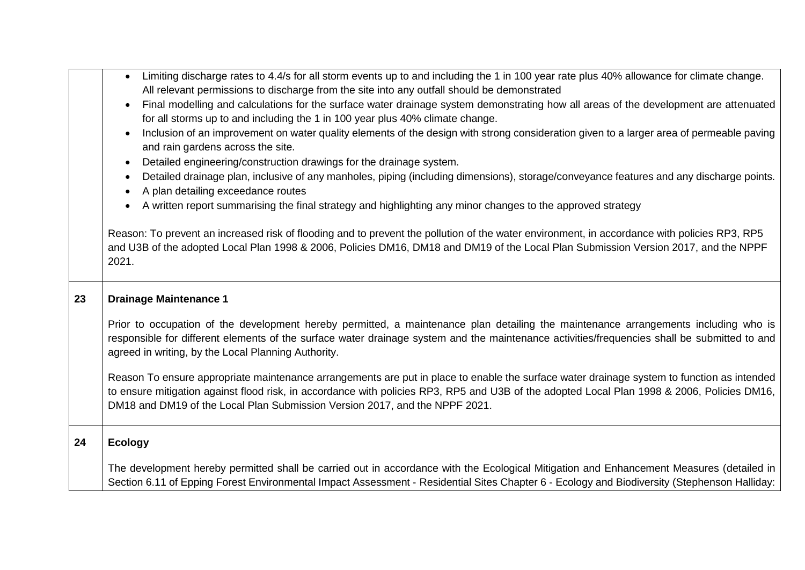|    | Limiting discharge rates to 4.4/s for all storm events up to and including the 1 in 100 year rate plus 40% allowance for climate change.<br>$\bullet$<br>All relevant permissions to discharge from the site into any outfall should be demonstrated                                                                                                                     |
|----|--------------------------------------------------------------------------------------------------------------------------------------------------------------------------------------------------------------------------------------------------------------------------------------------------------------------------------------------------------------------------|
|    | Final modelling and calculations for the surface water drainage system demonstrating how all areas of the development are attenuated<br>for all storms up to and including the 1 in 100 year plus 40% climate change.                                                                                                                                                    |
|    | Inclusion of an improvement on water quality elements of the design with strong consideration given to a larger area of permeable paving<br>and rain gardens across the site.                                                                                                                                                                                            |
|    | Detailed engineering/construction drawings for the drainage system.<br>$\bullet$                                                                                                                                                                                                                                                                                         |
|    | Detailed drainage plan, inclusive of any manholes, piping (including dimensions), storage/conveyance features and any discharge points.<br>A plan detailing exceedance routes                                                                                                                                                                                            |
|    | A written report summarising the final strategy and highlighting any minor changes to the approved strategy                                                                                                                                                                                                                                                              |
|    | Reason: To prevent an increased risk of flooding and to prevent the pollution of the water environment, in accordance with policies RP3, RP5<br>and U3B of the adopted Local Plan 1998 & 2006, Policies DM16, DM18 and DM19 of the Local Plan Submission Version 2017, and the NPPF<br>2021.                                                                             |
| 23 | <b>Drainage Maintenance 1</b>                                                                                                                                                                                                                                                                                                                                            |
|    | Prior to occupation of the development hereby permitted, a maintenance plan detailing the maintenance arrangements including who is<br>responsible for different elements of the surface water drainage system and the maintenance activities/frequencies shall be submitted to and<br>agreed in writing, by the Local Planning Authority.                               |
|    | Reason To ensure appropriate maintenance arrangements are put in place to enable the surface water drainage system to function as intended<br>to ensure mitigation against flood risk, in accordance with policies RP3, RP5 and U3B of the adopted Local Plan 1998 & 2006, Policies DM16,<br>DM18 and DM19 of the Local Plan Submission Version 2017, and the NPPF 2021. |
|    |                                                                                                                                                                                                                                                                                                                                                                          |
| 24 | <b>Ecology</b>                                                                                                                                                                                                                                                                                                                                                           |
|    | The development hereby permitted shall be carried out in accordance with the Ecological Mitigation and Enhancement Measures (detailed in                                                                                                                                                                                                                                 |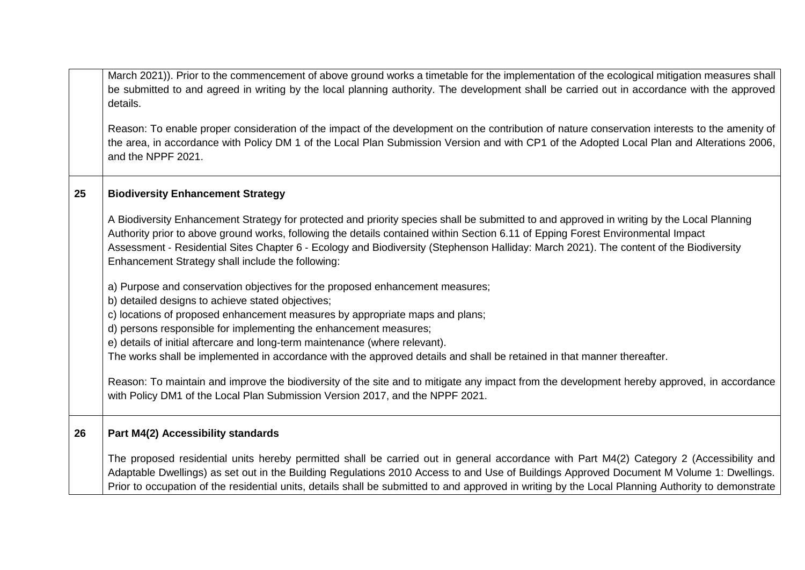|    | March 2021)). Prior to the commencement of above ground works a timetable for the implementation of the ecological mitigation measures shall<br>be submitted to and agreed in writing by the local planning authority. The development shall be carried out in accordance with the approved<br>details.                                                                                                                                                                       |
|----|-------------------------------------------------------------------------------------------------------------------------------------------------------------------------------------------------------------------------------------------------------------------------------------------------------------------------------------------------------------------------------------------------------------------------------------------------------------------------------|
|    | Reason: To enable proper consideration of the impact of the development on the contribution of nature conservation interests to the amenity of<br>the area, in accordance with Policy DM 1 of the Local Plan Submission Version and with CP1 of the Adopted Local Plan and Alterations 2006,<br>and the NPPF 2021.                                                                                                                                                            |
| 25 | <b>Biodiversity Enhancement Strategy</b>                                                                                                                                                                                                                                                                                                                                                                                                                                      |
|    | A Biodiversity Enhancement Strategy for protected and priority species shall be submitted to and approved in writing by the Local Planning<br>Authority prior to above ground works, following the details contained within Section 6.11 of Epping Forest Environmental Impact<br>Assessment - Residential Sites Chapter 6 - Ecology and Biodiversity (Stephenson Halliday: March 2021). The content of the Biodiversity<br>Enhancement Strategy shall include the following: |
|    | a) Purpose and conservation objectives for the proposed enhancement measures;<br>b) detailed designs to achieve stated objectives;<br>c) locations of proposed enhancement measures by appropriate maps and plans;<br>d) persons responsible for implementing the enhancement measures;                                                                                                                                                                                       |
|    | e) details of initial aftercare and long-term maintenance (where relevant).<br>The works shall be implemented in accordance with the approved details and shall be retained in that manner thereafter.                                                                                                                                                                                                                                                                        |
|    | Reason: To maintain and improve the biodiversity of the site and to mitigate any impact from the development hereby approved, in accordance<br>with Policy DM1 of the Local Plan Submission Version 2017, and the NPPF 2021.                                                                                                                                                                                                                                                  |
| 26 | Part M4(2) Accessibility standards                                                                                                                                                                                                                                                                                                                                                                                                                                            |
|    | The proposed residential units hereby permitted shall be carried out in general accordance with Part M4(2) Category 2 (Accessibility and<br>Adaptable Dwellings) as set out in the Building Regulations 2010 Access to and Use of Buildings Approved Document M Volume 1: Dwellings.<br>Prior to occupation of the residential units, details shall be submitted to and approved in writing by the Local Planning Authority to demonstrate                                    |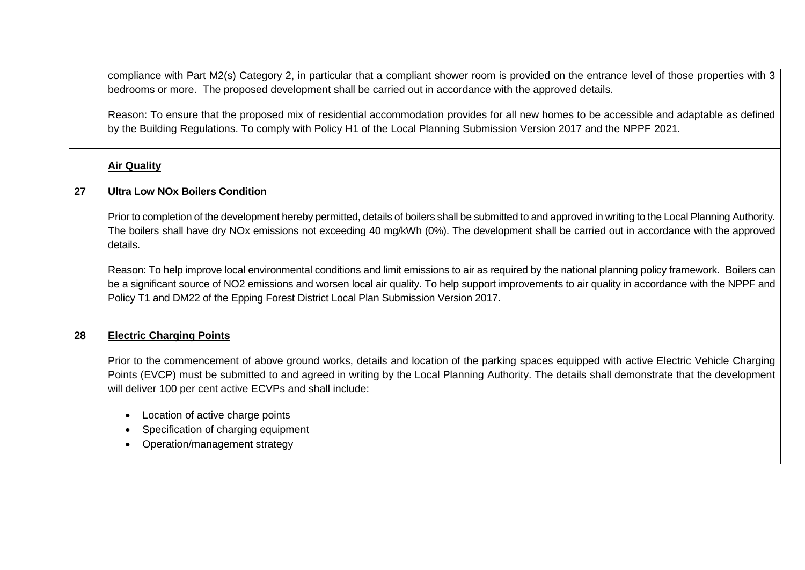|    | compliance with Part M2(s) Category 2, in particular that a compliant shower room is provided on the entrance level of those properties with 3<br>bedrooms or more. The proposed development shall be carried out in accordance with the approved details.                                                                                                                                         |
|----|----------------------------------------------------------------------------------------------------------------------------------------------------------------------------------------------------------------------------------------------------------------------------------------------------------------------------------------------------------------------------------------------------|
|    | Reason: To ensure that the proposed mix of residential accommodation provides for all new homes to be accessible and adaptable as defined<br>by the Building Regulations. To comply with Policy H1 of the Local Planning Submission Version 2017 and the NPPF 2021.                                                                                                                                |
|    | <b>Air Quality</b>                                                                                                                                                                                                                                                                                                                                                                                 |
| 27 | <b>Ultra Low NOx Boilers Condition</b>                                                                                                                                                                                                                                                                                                                                                             |
|    | Prior to completion of the development hereby permitted, details of boilers shall be submitted to and approved in writing to the Local Planning Authority.<br>The boilers shall have dry NOx emissions not exceeding 40 mg/kWh (0%). The development shall be carried out in accordance with the approved<br>details.                                                                              |
|    | Reason: To help improve local environmental conditions and limit emissions to air as required by the national planning policy framework. Boilers can<br>be a significant source of NO2 emissions and worsen local air quality. To help support improvements to air quality in accordance with the NPPF and<br>Policy T1 and DM22 of the Epping Forest District Local Plan Submission Version 2017. |
| 28 | <b>Electric Charging Points</b>                                                                                                                                                                                                                                                                                                                                                                    |
|    | Prior to the commencement of above ground works, details and location of the parking spaces equipped with active Electric Vehicle Charging<br>Points (EVCP) must be submitted to and agreed in writing by the Local Planning Authority. The details shall demonstrate that the development<br>will deliver 100 per cent active ECVPs and shall include:                                            |
|    | Location of active charge points<br>Specification of charging equipment<br>Operation/management strategy                                                                                                                                                                                                                                                                                           |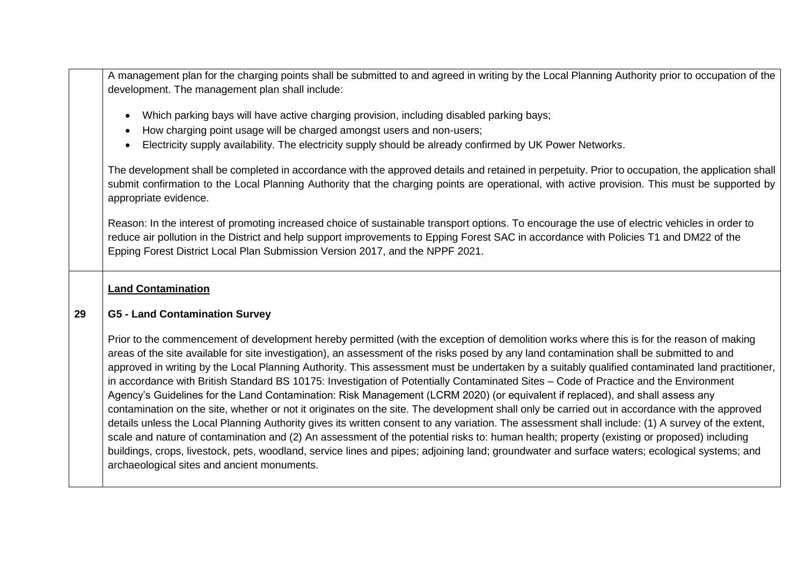A management plan for the charging points shall be submitted to and agreed in writing by the Local Planning Authority prior to occupation of the development. The management plan shall include:

- Which parking bays will have active charging provision, including disabled parking bays;
- How charging point usage will be charged amongst users and non-users:
- Electricity supply availability. The electricity supply should be already confirmed by UK Power Networks.

The development shall be completed in accordance with the approved details and retained in perpetuity. Prior to occupation, the application shall submit confirmation to the Local Planning Authority that the charging points are operational, with active provision. This must be supported by appropriate evidence.

Reason: In the interest of promoting increased choice of sustainable transport options. To encourage the use of electric vehicles in order to reduce air pollution in the District and help support improvements to Epping Forest SAC in accordance with Policies T1 and DM22 of the Epping Forest District Local Plan Submission Version 2017, and the NPPF 2021.

# **Land Contamination**

#### **29 G5 - Land Contamination Survey**

Prior to the commencement of development hereby permitted (with the exception of demolition works where this is for the reason of making areas of the site available for site investigation), an assessment of the risks posed by any land contamination shall be submitted to and approved in writing by the Local Planning Authority. This assessment must be undertaken by a suitably qualified contaminated land practitioner, in accordance with British Standard BS 10175: Investigation of Potentially Contaminated Sites – Code of Practice and the Environment Agency's Guidelines for the Land Contamination: Risk Management (LCRM 2020) (or equivalent if replaced), and shall assess any contamination on the site, whether or not it originates on the site. The development shall only be carried out in accordance with the approved details unless the Local Planning Authority gives its written consent to any variation. The assessment shall include: (1) A survey of the extent, scale and nature of contamination and (2) An assessment of the potential risks to: human health; property (existing or proposed) including buildings, crops, livestock, pets, woodland, service lines and pipes; adjoining land; groundwater and surface waters; ecological systems; and archaeological sites and ancient monuments.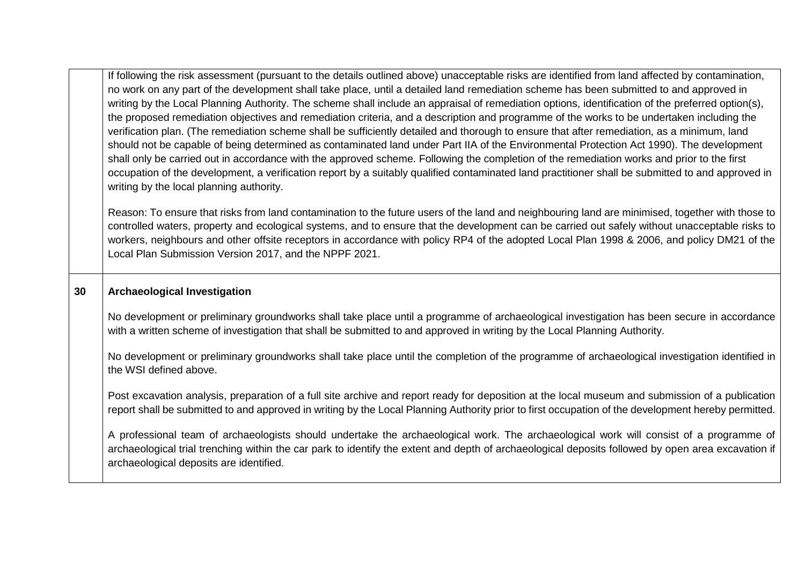|    | If following the risk assessment (pursuant to the details outlined above) unacceptable risks are identified from land affected by contamination,<br>no work on any part of the development shall take place, until a detailed land remediation scheme has been submitted to and approved in<br>writing by the Local Planning Authority. The scheme shall include an appraisal of remediation options, identification of the preferred option(s),<br>the proposed remediation objectives and remediation criteria, and a description and programme of the works to be undertaken including the<br>verification plan. (The remediation scheme shall be sufficiently detailed and thorough to ensure that after remediation, as a minimum, land<br>should not be capable of being determined as contaminated land under Part IIA of the Environmental Protection Act 1990). The development<br>shall only be carried out in accordance with the approved scheme. Following the completion of the remediation works and prior to the first<br>occupation of the development, a verification report by a suitably qualified contaminated land practitioner shall be submitted to and approved in<br>writing by the local planning authority. |
|----|-----------------------------------------------------------------------------------------------------------------------------------------------------------------------------------------------------------------------------------------------------------------------------------------------------------------------------------------------------------------------------------------------------------------------------------------------------------------------------------------------------------------------------------------------------------------------------------------------------------------------------------------------------------------------------------------------------------------------------------------------------------------------------------------------------------------------------------------------------------------------------------------------------------------------------------------------------------------------------------------------------------------------------------------------------------------------------------------------------------------------------------------------------------------------------------------------------------------------------------------|
|    | Reason: To ensure that risks from land contamination to the future users of the land and neighbouring land are minimised, together with those to<br>controlled waters, property and ecological systems, and to ensure that the development can be carried out safely without unacceptable risks to<br>workers, neighbours and other offsite receptors in accordance with policy RP4 of the adopted Local Plan 1998 & 2006, and policy DM21 of the<br>Local Plan Submission Version 2017, and the NPPF 2021.                                                                                                                                                                                                                                                                                                                                                                                                                                                                                                                                                                                                                                                                                                                             |
| 30 | <b>Archaeological Investigation</b>                                                                                                                                                                                                                                                                                                                                                                                                                                                                                                                                                                                                                                                                                                                                                                                                                                                                                                                                                                                                                                                                                                                                                                                                     |
|    | No development or preliminary groundworks shall take place until a programme of archaeological investigation has been secure in accordance<br>with a written scheme of investigation that shall be submitted to and approved in writing by the Local Planning Authority.                                                                                                                                                                                                                                                                                                                                                                                                                                                                                                                                                                                                                                                                                                                                                                                                                                                                                                                                                                |
|    | No development or preliminary groundworks shall take place until the completion of the programme of archaeological investigation identified in<br>the WSI defined above.                                                                                                                                                                                                                                                                                                                                                                                                                                                                                                                                                                                                                                                                                                                                                                                                                                                                                                                                                                                                                                                                |
|    | Post excavation analysis, preparation of a full site archive and report ready for deposition at the local museum and submission of a publication<br>report shall be submitted to and approved in writing by the Local Planning Authority prior to first occupation of the development hereby permitted.                                                                                                                                                                                                                                                                                                                                                                                                                                                                                                                                                                                                                                                                                                                                                                                                                                                                                                                                 |
|    | A professional team of archaeologists should undertake the archaeological work. The archaeological work will consist of a programme of<br>archaeological trial trenching within the car park to identify the extent and depth of archaeological deposits followed by open area excavation if<br>archaeological deposits are identified.                                                                                                                                                                                                                                                                                                                                                                                                                                                                                                                                                                                                                                                                                                                                                                                                                                                                                                 |
|    |                                                                                                                                                                                                                                                                                                                                                                                                                                                                                                                                                                                                                                                                                                                                                                                                                                                                                                                                                                                                                                                                                                                                                                                                                                         |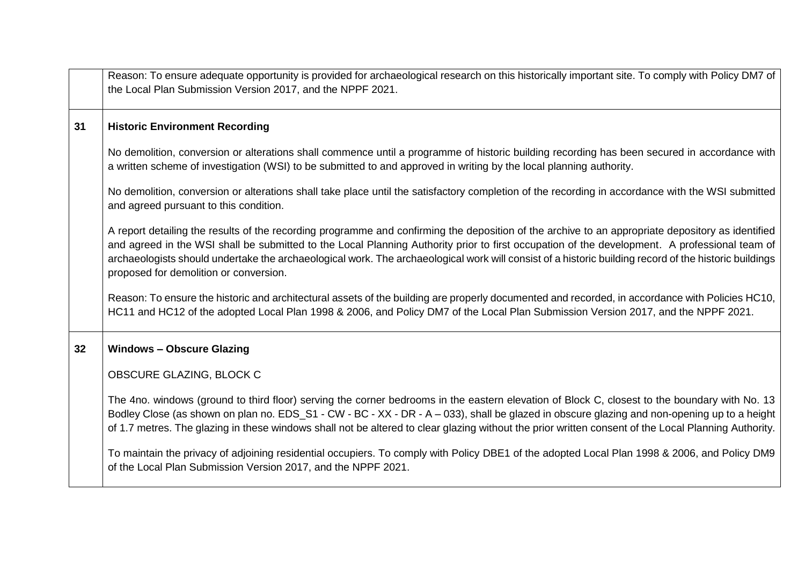|    | Reason: To ensure adequate opportunity is provided for archaeological research on this historically important site. To comply with Policy DM7 of<br>the Local Plan Submission Version 2017, and the NPPF 2021.                                                                                                                                                                                                                                                                                        |
|----|-------------------------------------------------------------------------------------------------------------------------------------------------------------------------------------------------------------------------------------------------------------------------------------------------------------------------------------------------------------------------------------------------------------------------------------------------------------------------------------------------------|
| 31 | <b>Historic Environment Recording</b>                                                                                                                                                                                                                                                                                                                                                                                                                                                                 |
|    | No demolition, conversion or alterations shall commence until a programme of historic building recording has been secured in accordance with<br>a written scheme of investigation (WSI) to be submitted to and approved in writing by the local planning authority.                                                                                                                                                                                                                                   |
|    | No demolition, conversion or alterations shall take place until the satisfactory completion of the recording in accordance with the WSI submitted<br>and agreed pursuant to this condition.                                                                                                                                                                                                                                                                                                           |
|    | A report detailing the results of the recording programme and confirming the deposition of the archive to an appropriate depository as identified<br>and agreed in the WSI shall be submitted to the Local Planning Authority prior to first occupation of the development. A professional team of<br>archaeologists should undertake the archaeological work. The archaeological work will consist of a historic building record of the historic buildings<br>proposed for demolition or conversion. |
|    | Reason: To ensure the historic and architectural assets of the building are properly documented and recorded, in accordance with Policies HC10,<br>HC11 and HC12 of the adopted Local Plan 1998 & 2006, and Policy DM7 of the Local Plan Submission Version 2017, and the NPPF 2021.                                                                                                                                                                                                                  |
| 32 | <b>Windows - Obscure Glazing</b>                                                                                                                                                                                                                                                                                                                                                                                                                                                                      |
|    | OBSCURE GLAZING, BLOCK C                                                                                                                                                                                                                                                                                                                                                                                                                                                                              |
|    | The 4no. windows (ground to third floor) serving the corner bedrooms in the eastern elevation of Block C, closest to the boundary with No. 13<br>Bodley Close (as shown on plan no. EDS_S1 - CW - BC - XX - DR - A - 033), shall be glazed in obscure glazing and non-opening up to a height<br>of 1.7 metres. The glazing in these windows shall not be altered to clear glazing without the prior written consent of the Local Planning Authority.                                                  |
|    | To maintain the privacy of adjoining residential occupiers. To comply with Policy DBE1 of the adopted Local Plan 1998 & 2006, and Policy DM9<br>of the Local Plan Submission Version 2017, and the NPPF 2021.                                                                                                                                                                                                                                                                                         |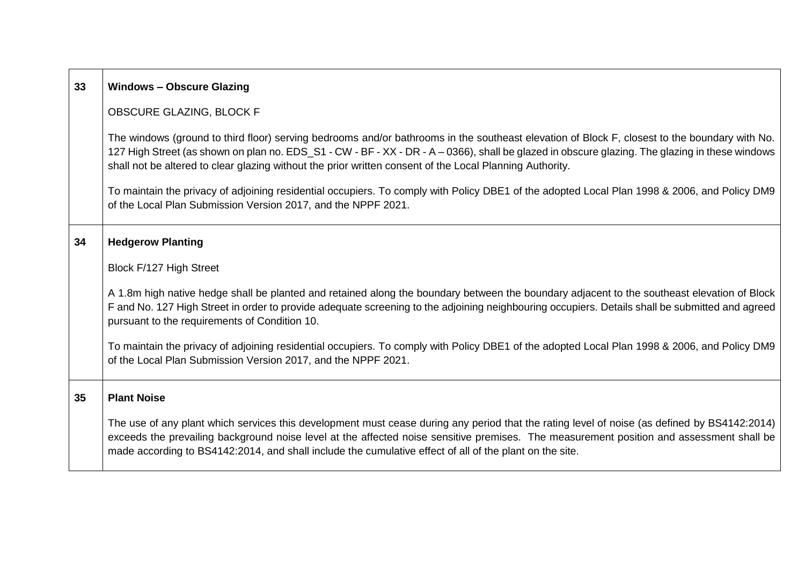| 33 | <b>Windows - Obscure Glazing</b>                                                                                                                                                                                                                                                                                                                                                                            |  |
|----|-------------------------------------------------------------------------------------------------------------------------------------------------------------------------------------------------------------------------------------------------------------------------------------------------------------------------------------------------------------------------------------------------------------|--|
|    | OBSCURE GLAZING, BLOCK F                                                                                                                                                                                                                                                                                                                                                                                    |  |
|    | The windows (ground to third floor) serving bedrooms and/or bathrooms in the southeast elevation of Block F, closest to the boundary with No.<br>127 High Street (as shown on plan no. EDS_S1 - CW - BF - XX - DR - A - 0366), shall be glazed in obscure glazing. The glazing in these windows<br>shall not be altered to clear glazing without the prior written consent of the Local Planning Authority. |  |
|    | To maintain the privacy of adjoining residential occupiers. To comply with Policy DBE1 of the adopted Local Plan 1998 & 2006, and Policy DM9<br>of the Local Plan Submission Version 2017, and the NPPF 2021.                                                                                                                                                                                               |  |
| 34 | <b>Hedgerow Planting</b>                                                                                                                                                                                                                                                                                                                                                                                    |  |
|    | Block F/127 High Street                                                                                                                                                                                                                                                                                                                                                                                     |  |
|    | A 1.8m high native hedge shall be planted and retained along the boundary between the boundary adjacent to the southeast elevation of Block<br>F and No. 127 High Street in order to provide adequate screening to the adjoining neighbouring occupiers. Details shall be submitted and agreed<br>pursuant to the requirements of Condition 10.                                                             |  |
|    | To maintain the privacy of adjoining residential occupiers. To comply with Policy DBE1 of the adopted Local Plan 1998 & 2006, and Policy DM9<br>of the Local Plan Submission Version 2017, and the NPPF 2021.                                                                                                                                                                                               |  |
| 35 | <b>Plant Noise</b>                                                                                                                                                                                                                                                                                                                                                                                          |  |
|    | The use of any plant which services this development must cease during any period that the rating level of noise (as defined by BS4142:2014)<br>exceeds the prevailing background noise level at the affected noise sensitive premises. The measurement position and assessment shall be<br>made according to BS4142:2014, and shall include the cumulative effect of all of the plant on the site.         |  |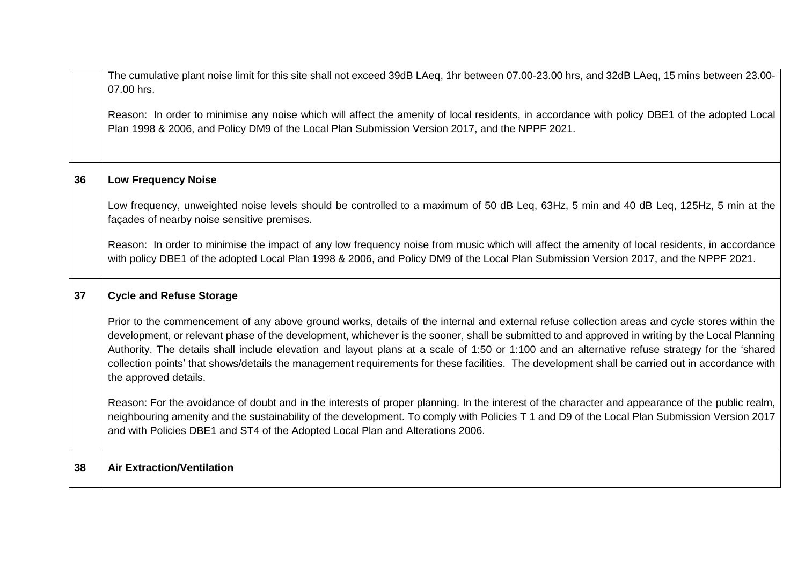|    | The cumulative plant noise limit for this site shall not exceed 39dB LAeq, 1hr between 07.00-23.00 hrs, and 32dB LAeq, 15 mins between 23.00-<br>07.00 hrs.                                                                                                                                                                                                                                                                                                                                                                                                                                                                    |
|----|--------------------------------------------------------------------------------------------------------------------------------------------------------------------------------------------------------------------------------------------------------------------------------------------------------------------------------------------------------------------------------------------------------------------------------------------------------------------------------------------------------------------------------------------------------------------------------------------------------------------------------|
|    | Reason: In order to minimise any noise which will affect the amenity of local residents, in accordance with policy DBE1 of the adopted Local<br>Plan 1998 & 2006, and Policy DM9 of the Local Plan Submission Version 2017, and the NPPF 2021.                                                                                                                                                                                                                                                                                                                                                                                 |
| 36 | <b>Low Frequency Noise</b>                                                                                                                                                                                                                                                                                                                                                                                                                                                                                                                                                                                                     |
|    | Low frequency, unweighted noise levels should be controlled to a maximum of 50 dB Leq, 63Hz, 5 min and 40 dB Leq, 125Hz, 5 min at the<br>façades of nearby noise sensitive premises.                                                                                                                                                                                                                                                                                                                                                                                                                                           |
|    | Reason: In order to minimise the impact of any low frequency noise from music which will affect the amenity of local residents, in accordance<br>with policy DBE1 of the adopted Local Plan 1998 & 2006, and Policy DM9 of the Local Plan Submission Version 2017, and the NPPF 2021.                                                                                                                                                                                                                                                                                                                                          |
| 37 | <b>Cycle and Refuse Storage</b>                                                                                                                                                                                                                                                                                                                                                                                                                                                                                                                                                                                                |
|    | Prior to the commencement of any above ground works, details of the internal and external refuse collection areas and cycle stores within the<br>development, or relevant phase of the development, whichever is the sooner, shall be submitted to and approved in writing by the Local Planning<br>Authority. The details shall include elevation and layout plans at a scale of 1:50 or 1:100 and an alternative refuse strategy for the 'shared<br>collection points' that shows/details the management requirements for these facilities. The development shall be carried out in accordance with<br>the approved details. |
|    | Reason: For the avoidance of doubt and in the interests of proper planning. In the interest of the character and appearance of the public realm,<br>neighbouring amenity and the sustainability of the development. To comply with Policies T 1 and D9 of the Local Plan Submission Version 2017<br>and with Policies DBE1 and ST4 of the Adopted Local Plan and Alterations 2006.                                                                                                                                                                                                                                             |
| 38 | <b>Air Extraction/Ventilation</b>                                                                                                                                                                                                                                                                                                                                                                                                                                                                                                                                                                                              |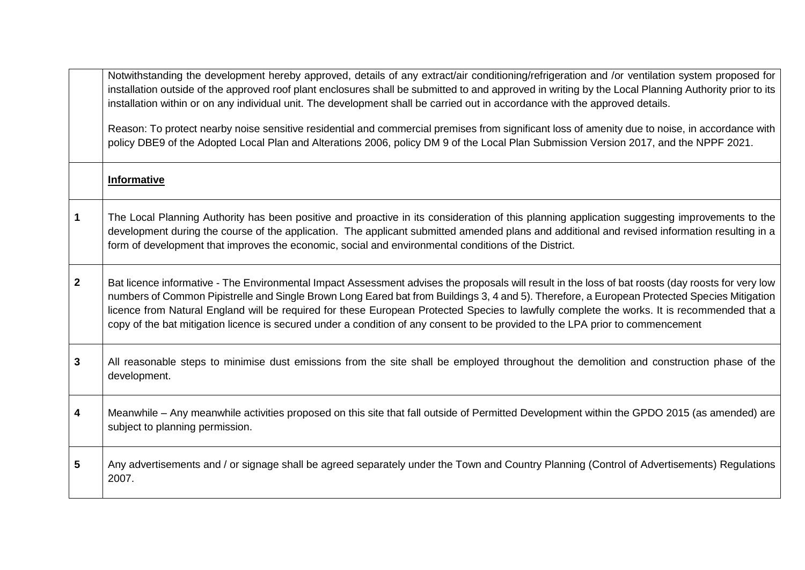|              | Notwithstanding the development hereby approved, details of any extract/air conditioning/refrigeration and /or ventilation system proposed for<br>installation outside of the approved roof plant enclosures shall be submitted to and approved in writing by the Local Planning Authority prior to its<br>installation within or on any individual unit. The development shall be carried out in accordance with the approved details.                                                                                                                                             |
|--------------|-------------------------------------------------------------------------------------------------------------------------------------------------------------------------------------------------------------------------------------------------------------------------------------------------------------------------------------------------------------------------------------------------------------------------------------------------------------------------------------------------------------------------------------------------------------------------------------|
|              | Reason: To protect nearby noise sensitive residential and commercial premises from significant loss of amenity due to noise, in accordance with<br>policy DBE9 of the Adopted Local Plan and Alterations 2006, policy DM 9 of the Local Plan Submission Version 2017, and the NPPF 2021.                                                                                                                                                                                                                                                                                            |
|              | <b>Informative</b>                                                                                                                                                                                                                                                                                                                                                                                                                                                                                                                                                                  |
| 1            | The Local Planning Authority has been positive and proactive in its consideration of this planning application suggesting improvements to the<br>development during the course of the application. The applicant submitted amended plans and additional and revised information resulting in a<br>form of development that improves the economic, social and environmental conditions of the District.                                                                                                                                                                              |
| $\mathbf{2}$ | Bat licence informative - The Environmental Impact Assessment advises the proposals will result in the loss of bat roosts (day roosts for very low<br>numbers of Common Pipistrelle and Single Brown Long Eared bat from Buildings 3, 4 and 5). Therefore, a European Protected Species Mitigation<br>licence from Natural England will be required for these European Protected Species to lawfully complete the works. It is recommended that a<br>copy of the bat mitigation licence is secured under a condition of any consent to be provided to the LPA prior to commencement |
| 3            | All reasonable steps to minimise dust emissions from the site shall be employed throughout the demolition and construction phase of the<br>development.                                                                                                                                                                                                                                                                                                                                                                                                                             |
| 4            | Meanwhile – Any meanwhile activities proposed on this site that fall outside of Permitted Development within the GPDO 2015 (as amended) are<br>subject to planning permission.                                                                                                                                                                                                                                                                                                                                                                                                      |
| 5            | Any advertisements and / or signage shall be agreed separately under the Town and Country Planning (Control of Advertisements) Regulations<br>2007.                                                                                                                                                                                                                                                                                                                                                                                                                                 |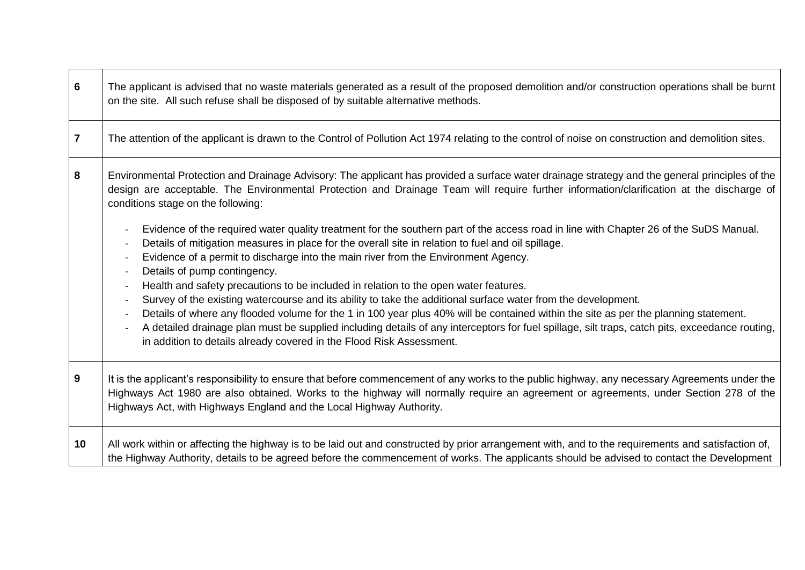| $6\phantom{1}6$ | The applicant is advised that no waste materials generated as a result of the proposed demolition and/or construction operations shall be burnt<br>on the site. All such refuse shall be disposed of by suitable alternative methods.                                                                                                                                                                                                                                                                                                                                  |
|-----------------|------------------------------------------------------------------------------------------------------------------------------------------------------------------------------------------------------------------------------------------------------------------------------------------------------------------------------------------------------------------------------------------------------------------------------------------------------------------------------------------------------------------------------------------------------------------------|
| $\overline{7}$  | The attention of the applicant is drawn to the Control of Pollution Act 1974 relating to the control of noise on construction and demolition sites.                                                                                                                                                                                                                                                                                                                                                                                                                    |
| 8               | Environmental Protection and Drainage Advisory: The applicant has provided a surface water drainage strategy and the general principles of the<br>design are acceptable. The Environmental Protection and Drainage Team will require further information/clarification at the discharge of<br>conditions stage on the following:                                                                                                                                                                                                                                       |
|                 | Evidence of the required water quality treatment for the southern part of the access road in line with Chapter 26 of the SuDS Manual.<br>Details of mitigation measures in place for the overall site in relation to fuel and oil spillage.<br>Evidence of a permit to discharge into the main river from the Environment Agency.<br>Details of pump contingency.                                                                                                                                                                                                      |
|                 | Health and safety precautions to be included in relation to the open water features.<br>Survey of the existing watercourse and its ability to take the additional surface water from the development.<br>Details of where any flooded volume for the 1 in 100 year plus 40% will be contained within the site as per the planning statement.<br>A detailed drainage plan must be supplied including details of any interceptors for fuel spillage, silt traps, catch pits, exceedance routing,<br>in addition to details already covered in the Flood Risk Assessment. |
| 9               | It is the applicant's responsibility to ensure that before commencement of any works to the public highway, any necessary Agreements under the<br>Highways Act 1980 are also obtained. Works to the highway will normally require an agreement or agreements, under Section 278 of the<br>Highways Act, with Highways England and the Local Highway Authority.                                                                                                                                                                                                         |
| 10              | All work within or affecting the highway is to be laid out and constructed by prior arrangement with, and to the requirements and satisfaction of,<br>the Highway Authority, details to be agreed before the commencement of works. The applicants should be advised to contact the Development                                                                                                                                                                                                                                                                        |

 $\blacksquare$